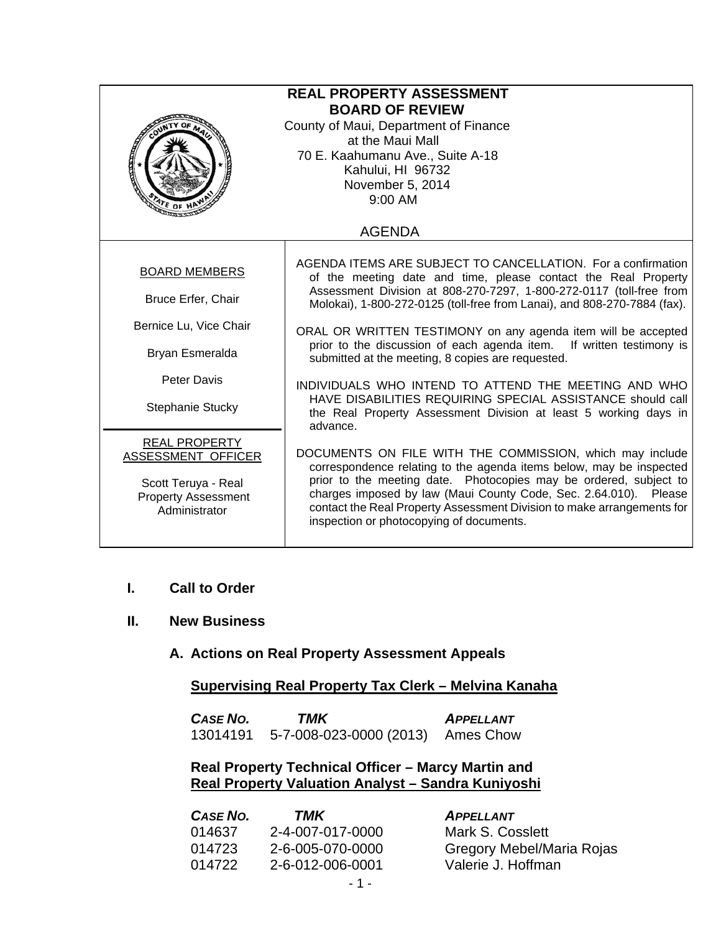| <b>REAL PROPERTY ASSESSMENT</b><br><b>BOARD OF REVIEW</b><br>County of Maui, Department of Finance<br>at the Maui Mall<br>70 E. Kaahumanu Ave., Suite A-18<br>Kahului, HI 96732<br>November 5, 2014<br>$9:00$ AM<br><sup>′€</sup> OF ነ |                                                                                                                                                                                                                                                                                                                                                                                                |  |
|----------------------------------------------------------------------------------------------------------------------------------------------------------------------------------------------------------------------------------------|------------------------------------------------------------------------------------------------------------------------------------------------------------------------------------------------------------------------------------------------------------------------------------------------------------------------------------------------------------------------------------------------|--|
|                                                                                                                                                                                                                                        | <b>AGENDA</b>                                                                                                                                                                                                                                                                                                                                                                                  |  |
| <b>BOARD MEMBERS</b><br><b>Bruce Erfer, Chair</b>                                                                                                                                                                                      | AGENDA ITEMS ARE SUBJECT TO CANCELLATION. For a confirmation<br>of the meeting date and time, please contact the Real Property<br>Assessment Division at 808-270-7297, 1-800-272-0117 (toll-free from<br>Molokai), 1-800-272-0125 (toll-free from Lanai), and 808-270-7884 (fax).                                                                                                              |  |
| Bernice Lu, Vice Chair<br>Bryan Esmeralda                                                                                                                                                                                              | ORAL OR WRITTEN TESTIMONY on any agenda item will be accepted<br>prior to the discussion of each agenda item. If written testimony is<br>submitted at the meeting, 8 copies are requested.                                                                                                                                                                                                     |  |
| <b>Peter Davis</b><br>Stephanie Stucky                                                                                                                                                                                                 | INDIVIDUALS WHO INTEND TO ATTEND THE MEETING AND WHO<br>HAVE DISABILITIES REQUIRING SPECIAL ASSISTANCE should call<br>the Real Property Assessment Division at least 5 working days in<br>advance.                                                                                                                                                                                             |  |
| <b>REAL PROPERTY</b><br>ASSESSMENT OFFICER<br>Scott Teruya - Real<br><b>Property Assessment</b><br>Administrator                                                                                                                       | DOCUMENTS ON FILE WITH THE COMMISSION, which may include<br>correspondence relating to the agenda items below, may be inspected<br>prior to the meeting date. Photocopies may be ordered, subject to<br>charges imposed by law (Maui County Code, Sec. 2.64.010). Please<br>contact the Real Property Assessment Division to make arrangements for<br>inspection or photocopying of documents. |  |

- **I. Call to Order**
- **II. New Business**

## **A. Actions on Real Property Assessment Appeals**

## **Supervising Real Property Tax Clerk – Melvina Kanaha**

| <b>CASE NO.</b> | TMK                     | <b>APPELLANT</b> |
|-----------------|-------------------------|------------------|
| 13014191        | 5-7-008-023-0000 (2013) | Ames Chow        |

### **Real Property Technical Officer – Marcy Martin and Real Property Valuation Analyst – Sandra Kuniyoshi**

| CASE NO. | TMK              | <b>APPELLANT</b>          |
|----------|------------------|---------------------------|
| 014637   | 2-4-007-017-0000 | Mark S. Cosslett          |
| 014723   | 2-6-005-070-0000 | Gregory Mebel/Maria Rojas |
| 014722   | 2-6-012-006-0001 | Valerie J. Hoffman        |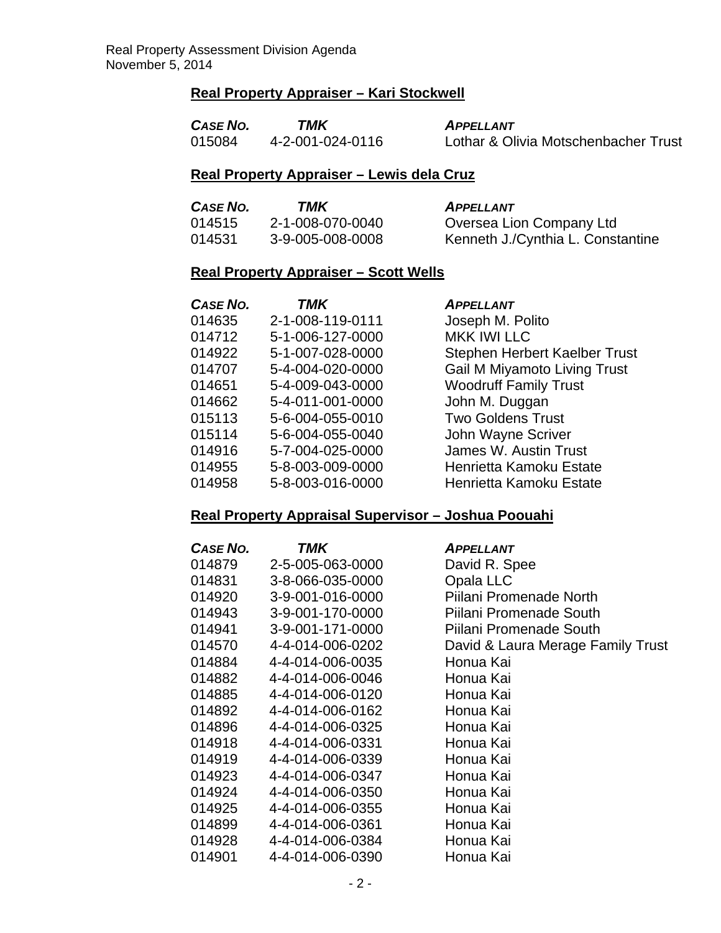# **Real Property Appraiser – Kari Stockwell**

| CASE NO. | TMK              | <b>APPELLANT</b>                     |
|----------|------------------|--------------------------------------|
| 015084   | 4-2-001-024-0116 | Lothar & Olivia Motschenbacher Trust |

### **Real Property Appraiser – Lewis dela Cruz**

| CASE NO. | TMK              | <b>APPELLANT</b>                  |
|----------|------------------|-----------------------------------|
| 014515   | 2-1-008-070-0040 | Oversea Lion Company Ltd          |
| 014531   | 3-9-005-008-0008 | Kenneth J./Cynthia L. Constantine |

# **Real Property Appraiser – Scott Wells**

| CASE NO. | TMK              | <b>APPELLANT</b>                    |
|----------|------------------|-------------------------------------|
| 014635   | 2-1-008-119-0111 | Joseph M. Polito                    |
| 014712   | 5-1-006-127-0000 | <b>MKK IWI LLC</b>                  |
| 014922   | 5-1-007-028-0000 | Stephen Herbert Kaelber Trust       |
| 014707   | 5-4-004-020-0000 | <b>Gail M Miyamoto Living Trust</b> |
| 014651   | 5-4-009-043-0000 | <b>Woodruff Family Trust</b>        |
| 014662   | 5-4-011-001-0000 | John M. Duggan                      |
| 015113   | 5-6-004-055-0010 | <b>Two Goldens Trust</b>            |
| 015114   | 5-6-004-055-0040 | John Wayne Scriver                  |
| 014916   | 5-7-004-025-0000 | James W. Austin Trust               |
| 014955   | 5-8-003-009-0000 | Henrietta Kamoku Estate             |
| 014958   | 5-8-003-016-0000 | Henrietta Kamoku Estate             |

### **Real Property Appraisal Supervisor – Joshua Poouahi**

| CASE NO. | TMK              | <b>APPELLANT</b>                  |
|----------|------------------|-----------------------------------|
| 014879   | 2-5-005-063-0000 | David R. Spee                     |
| 014831   | 3-8-066-035-0000 | Opala LLC                         |
| 014920   | 3-9-001-016-0000 | Piilani Promenade North           |
| 014943   | 3-9-001-170-0000 | Piilani Promenade South           |
| 014941   | 3-9-001-171-0000 | Piilani Promenade South           |
| 014570   | 4-4-014-006-0202 | David & Laura Merage Family Trust |
| 014884   | 4-4-014-006-0035 | Honua Kai                         |
| 014882   | 4-4-014-006-0046 | Honua Kai                         |
| 014885   | 4-4-014-006-0120 | Honua Kai                         |
| 014892   | 4-4-014-006-0162 | Honua Kai                         |
| 014896   | 4-4-014-006-0325 | Honua Kai                         |
| 014918   | 4-4-014-006-0331 | Honua Kai                         |
| 014919   | 4-4-014-006-0339 | Honua Kai                         |
| 014923   | 4-4-014-006-0347 | Honua Kai                         |
| 014924   | 4-4-014-006-0350 | Honua Kai                         |
| 014925   | 4-4-014-006-0355 | Honua Kai                         |
| 014899   | 4-4-014-006-0361 | Honua Kai                         |
| 014928   | 4-4-014-006-0384 | Honua Kai                         |
| 014901   | 4-4-014-006-0390 | Honua Kai                         |